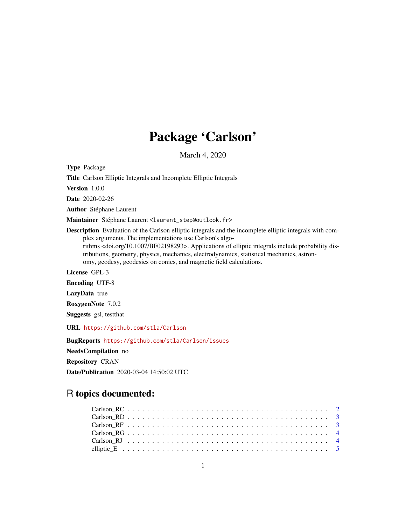# Package 'Carlson'

March 4, 2020

Type Package

Title Carlson Elliptic Integrals and Incomplete Elliptic Integrals

Version 1.0.0

Date 2020-02-26

Author Stéphane Laurent

Maintainer Stéphane Laurent <laurent\_step@outlook.fr>

Description Evaluation of the Carlson elliptic integrals and the incomplete elliptic integrals with complex arguments. The implementations use Carlson's algorithms <doi.org/10.1007/BF02198293>. Applications of elliptic integrals include probability distributions, geometry, physics, mechanics, electrodynamics, statistical mechanics, astronomy, geodesy, geodesics on conics, and magnetic field calculations.

License GPL-3

Encoding UTF-8

LazyData true

RoxygenNote 7.0.2

Suggests gsl, testthat

URL <https://github.com/stla/Carlson>

BugReports <https://github.com/stla/Carlson/issues>

NeedsCompilation no

Repository CRAN

Date/Publication 2020-03-04 14:50:02 UTC

# R topics documented: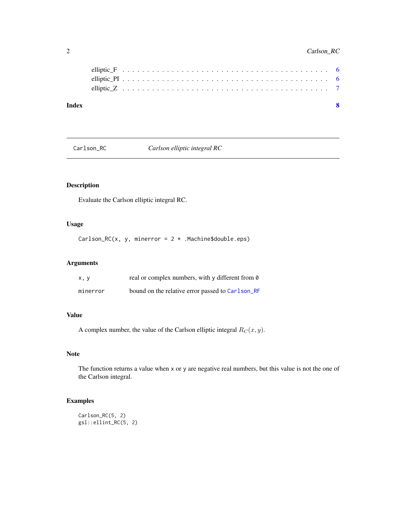<span id="page-1-0"></span>

| Index |  |  |  |  |  |  |  |  |  |  |  |  |  |  |  |  |  |  |  |  |
|-------|--|--|--|--|--|--|--|--|--|--|--|--|--|--|--|--|--|--|--|--|
|       |  |  |  |  |  |  |  |  |  |  |  |  |  |  |  |  |  |  |  |  |
|       |  |  |  |  |  |  |  |  |  |  |  |  |  |  |  |  |  |  |  |  |
|       |  |  |  |  |  |  |  |  |  |  |  |  |  |  |  |  |  |  |  |  |

Carlson\_RC *Carlson elliptic integral RC*

#### Description

Evaluate the Carlson elliptic integral RC.

#### Usage

Carlson\_RC(x, y, minerror =  $2 *$ . Machine\$double.eps)

# Arguments

| x, y     | real or complex numbers, with y different from 0 |
|----------|--------------------------------------------------|
| minerror | bound on the relative error passed to Carlson_RF |

#### Value

A complex number, the value of the Carlson elliptic integral  $R_C(x, y)$ .

# Note

The function returns a value when x or y are negative real numbers, but this value is not the one of the Carlson integral.

# Examples

```
Carlson_RC(5, 2)
gsl::ellint_RC(5, 2)
```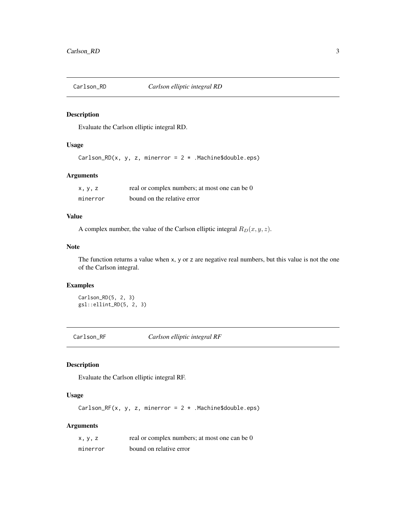<span id="page-2-2"></span><span id="page-2-0"></span>

#### Description

Evaluate the Carlson elliptic integral RD.

#### Usage

Carlson\_RD(x, y, z, minerror =  $2 *$  . Machine\$double.eps)

#### Arguments

| x, y, z  | real or complex numbers; at most one can be 0 |
|----------|-----------------------------------------------|
| minerror | bound on the relative error                   |

#### Value

A complex number, the value of the Carlson elliptic integral  $R_D(x, y, z)$ .

#### Note

The function returns a value when x, y or z are negative real numbers, but this value is not the one of the Carlson integral.

#### Examples

Carlson\_RD(5, 2, 3) gsl::ellint\_RD(5, 2, 3)

<span id="page-2-1"></span>Carlson\_RF *Carlson elliptic integral RF*

## Description

Evaluate the Carlson elliptic integral RF.

#### Usage

Carlson\_RF(x, y, z, minerror =  $2 *$ . Machine\$double.eps)

#### Arguments

| x, y, z  | real or complex numbers; at most one can be 0 |
|----------|-----------------------------------------------|
| minerror | bound on relative error                       |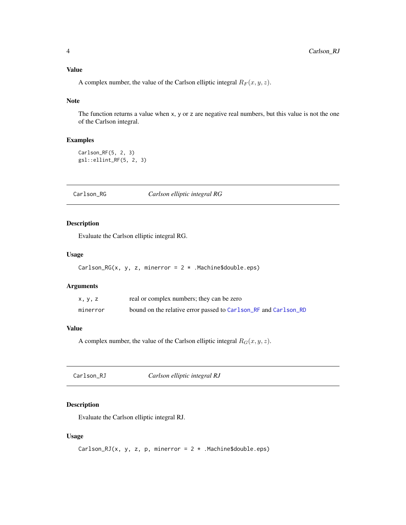#### <span id="page-3-0"></span>Value

A complex number, the value of the Carlson elliptic integral  $R_F(x, y, z)$ .

#### Note

The function returns a value when x, y or z are negative real numbers, but this value is not the one of the Carlson integral.

#### Examples

```
Carlson_RF(5, 2, 3)
gsl::ellint_RF(5, 2, 3)
```
Carlson\_RG *Carlson elliptic integral RG*

#### Description

Evaluate the Carlson elliptic integral RG.

#### Usage

```
Carlson_RG(x, y, z, minerror = 2 * . Machine$double.eps)
```
#### Arguments

| x, y, z  | real or complex numbers; they can be zero                       |
|----------|-----------------------------------------------------------------|
| minerror | bound on the relative error passed to Carlson_RF and Carlson_RD |

# Value

A complex number, the value of the Carlson elliptic integral  $R_G(x, y, z)$ .

<span id="page-3-1"></span>Carlson\_RJ *Carlson elliptic integral RJ*

#### Description

Evaluate the Carlson elliptic integral RJ.

#### Usage

```
Carlson_RJ(x, y, z, p, minerror = 2 * .Machine$double.eps)
```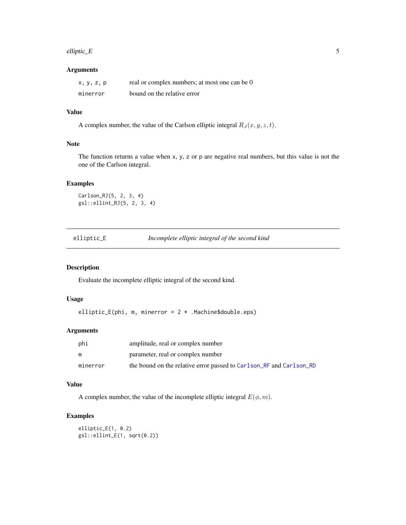#### <span id="page-4-0"></span>elliptic\_E 5

#### Arguments

| x, y, z, p | real or complex numbers; at most one can be 0 |
|------------|-----------------------------------------------|
| minerror   | bound on the relative error                   |

#### Value

A complex number, the value of the Carlson elliptic integral  $R_J(x, y, z, t)$ .

#### Note

The function returns a value when x, y, z or p are negative real numbers, but this value is not the one of the Carlson integral.

#### Examples

Carlson\_RJ(5, 2, 3, 4) gsl::ellint\_RJ(5, 2, 3, 4)

<span id="page-4-1"></span>elliptic\_E *Incomplete elliptic integral of the second kind*

#### Description

Evaluate the incomplete elliptic integral of the second kind.

#### Usage

elliptic\_E(phi, m, minerror = 2 \* .Machine\$double.eps)

#### Arguments

| phi      | amplitude, real or complex number                                   |
|----------|---------------------------------------------------------------------|
| m        | parameter, real or complex number                                   |
| minerror | the bound on the relative error passed to Carlson RF and Carlson RD |

# Value

A complex number, the value of the incomplete elliptic integral  $E(\phi, m)$ .

#### Examples

elliptic\_E(1, 0.2) gsl::ellint\_E(1, sqrt(0.2))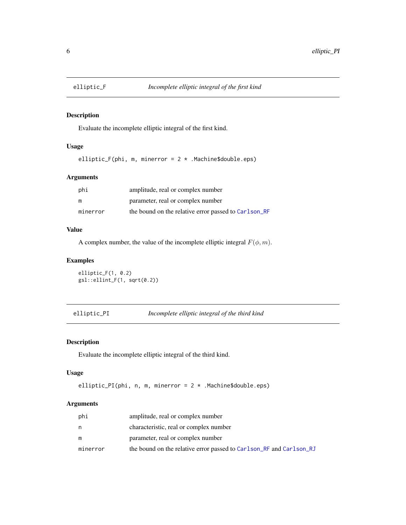<span id="page-5-1"></span><span id="page-5-0"></span>

#### Description

Evaluate the incomplete elliptic integral of the first kind.

# Usage

elliptic\_F(phi, m, minerror =  $2 *$ . Machine\$double.eps)

#### Arguments

| phi      | amplitude, real or complex number                    |
|----------|------------------------------------------------------|
| m        | parameter, real or complex number                    |
| minerror | the bound on the relative error passed to Carlson_RF |

#### Value

A complex number, the value of the incomplete elliptic integral  $F(\phi, m)$ .

#### Examples

elliptic\_F(1, 0.2) gsl::ellint\_F(1, sqrt(0.2))

elliptic\_PI *Incomplete elliptic integral of the third kind*

#### Description

Evaluate the incomplete elliptic integral of the third kind.

#### Usage

```
elliptic_PI(phi, n, m, minerror = 2 * .Machine$double.eps)
```
#### Arguments

| phi      | amplitude, real or complex number                                   |
|----------|---------------------------------------------------------------------|
| n        | characteristic, real or complex number                              |
| m        | parameter, real or complex number                                   |
| minerror | the bound on the relative error passed to Carlson_RF and Carlson_RJ |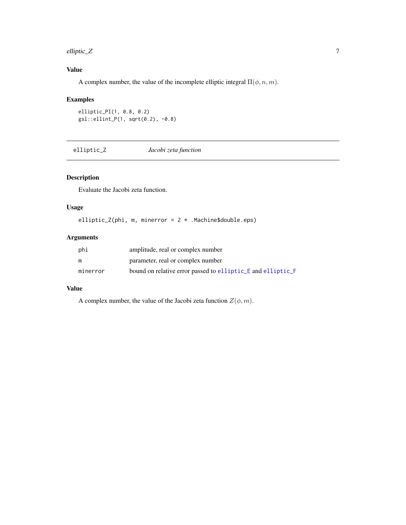<span id="page-6-0"></span>elliptic\_Z  $\hspace{1cm}$  7

# Value

A complex number, the value of the incomplete elliptic integral  $\Pi(\phi, n, m)$ .

#### Examples

elliptic\_PI(1, 0.8, 0.2) gsl::ellint\_P(1, sqrt(0.2), -0.8)

elliptic\_Z *Jacobi zeta function*

#### Description

Evaluate the Jacobi zeta function.

# Usage

elliptic\_Z(phi, m, minerror =  $2 *$ . Machine\$double.eps)

# Arguments

| phi      | amplitude, real or complex number                           |
|----------|-------------------------------------------------------------|
| m        | parameter, real or complex number                           |
| minerror | bound on relative error passed to elliptic E and elliptic F |

#### Value

A complex number, the value of the Jacobi zeta function  $Z(\phi, m)$ .